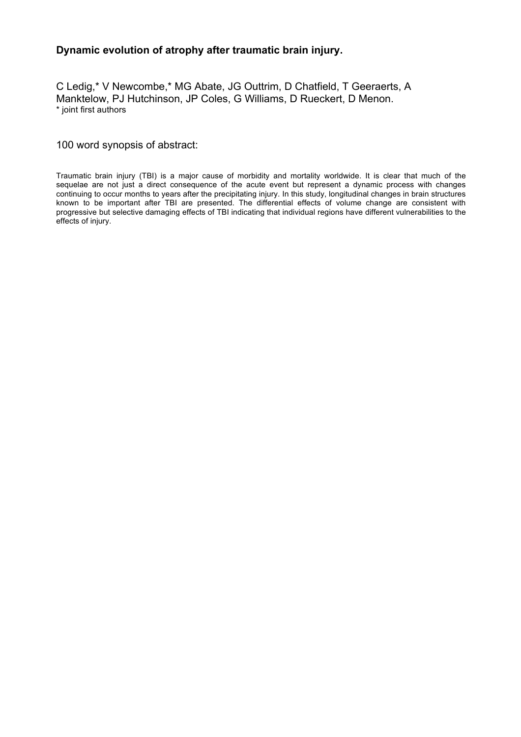## **Dynamic evolution of atrophy after traumatic brain injury.**

C Ledig,\* V Newcombe,\* MG Abate, JG Outtrim, D Chatfield, T Geeraerts, A Manktelow, PJ Hutchinson, JP Coles, G Williams, D Rueckert, D Menon. \* joint first authors

100 word synopsis of abstract:

Traumatic brain injury (TBI) is a major cause of morbidity and mortality worldwide. It is clear that much of the sequelae are not just a direct consequence of the acute event but represent a dynamic process with changes continuing to occur months to years after the precipitating injury. In this study, longitudinal changes in brain structures known to be important after TBI are presented. The differential effects of volume change are consistent with progressive but selective damaging effects of TBI indicating that individual regions have different vulnerabilities to the effects of injury.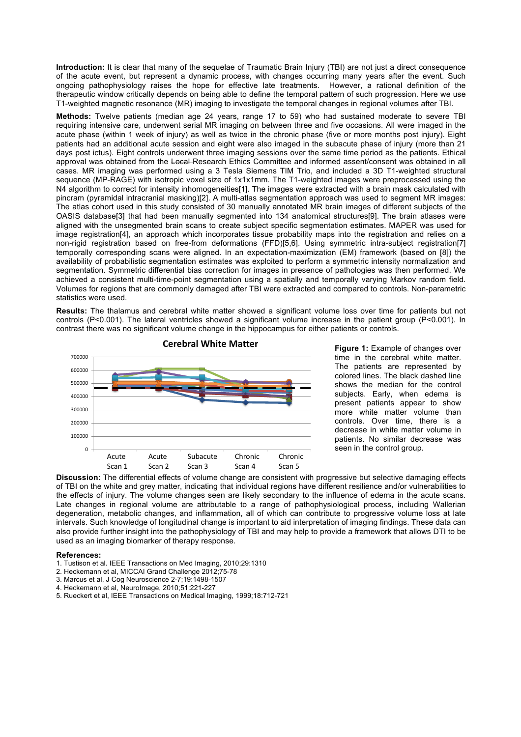**Introduction:** It is clear that many of the sequelae of Traumatic Brain Injury (TBI) are not just a direct consequence of the acute event, but represent a dynamic process, with changes occurring many years after the event. Such ongoing pathophysiology raises the hope for effective late treatments. However, a rational definition of the therapeutic window critically depends on being able to define the temporal pattern of such progression. Here we use T1-weighted magnetic resonance (MR) imaging to investigate the temporal changes in regional volumes after TBI.

**Methods:** Twelve patients (median age 24 years, range 17 to 59) who had sustained moderate to severe TBI requiring intensive care, underwent serial MR imaging on between three and five occasions. All were imaged in the acute phase (within 1 week of injury) as well as twice in the chronic phase (five or more months post injury). Eight patients had an additional acute session and eight were also imaged in the subacute phase of injury (more than 21 days post ictus). Eight controls underwent three imaging sessions over the same time period as the patients. Ethical approval was obtained from the Local Research Ethics Committee and informed assent/consent was obtained in all cases. MR imaging was performed using a 3 Tesla Siemens TIM Trio, and included a 3D T1-weighted structural sequence (MP-RAGE) with isotropic voxel size of 1x1x1mm. The T1-weighted images were preprocessed using the N4 algorithm to correct for intensity inhomogeneities[1]. The images were extracted with a brain mask calculated with pincram (pyramidal intracranial masking)[2]. A multi-atlas segmentation approach was used to segment MR images: The atlas cohort used in this study consisted of 30 manually annotated MR brain images of different subjects of the OASIS database[3] that had been manually segmented into 134 anatomical structures[9]. The brain atlases were aligned with the unsegmented brain scans to create subject specific segmentation estimates. MAPER was used for image registration[4], an approach which incorporates tissue probability maps into the registration and relies on a non-rigid registration based on free-from deformations (FFD)[5,6]. Using symmetric intra-subject registration[7] temporally corresponding scans were aligned. In an expectation-maximization (EM) framework (based on [8]) the availability of probabilistic segmentation estimates was exploited to perform a symmetric intensity normalization and segmentation. Symmetric differential bias correction for images in presence of pathologies was then performed. We achieved a consistent multi-time-point segmentation using a spatially and temporally varying Markov random field. Volumes for regions that are commonly damaged after TBI were extracted and compared to controls. Non-parametric statistics were used.

**Results:** The thalamus and cerebral white matter showed a significant volume loss over time for patients but not controls (P<0.001). The lateral ventricles showed a significant volume increase in the patient group (P<0.001). In contrast there was no significant volume change in the hippocampus for either patients or controls.



time in the cerebral white matter. s12287 colored lines. The black dashed line shows the median for the control subjects. Early, when edema is present patients appear to show more white matter volume than controls. Over time, there is a decrease in white matter volume in seen in the control group. **Figure 1:** Example of changes over The patients are represented by patients. No similar decrease was

**Discussion:** The differential effects of volume change are consistent with progressive but selective damaging effects of TBI on the white and grey matter, indicating that individual regions have different resilience and/or vulnerabilities to the effects of injury. The volume changes seen are likely secondary to the influence of edema in the acute scans. Late changes in regional volume are attributable to a range of pathophysiological process, including Wallerian degeneration, metabolic changes, and inflammation, all of which can contribute to progressive volume loss at late intervals. Such knowledge of longitudinal change is important to aid interpretation of imaging findings. These data can also provide further insight into the pathophysiology of TBI and may help to provide a framework that allows DTI to be used as an imaging biomarker of therapy response.

## **References:**

- 1. Tustison et al. IEEE Transactions on Med Imaging, 2010;29:1310
- 2. Heckemann et al, MICCAI Grand Challenge 2012;75-78
- 3. Marcus et al, J Cog Neuroscience 2-7;19:1498-1507
- 4. Heckemann et al, NeuroImage, 2010;51:221-227
- 5. Rueckert et al, IEEE Transactions on Medical Imaging, 1999;18:712-721